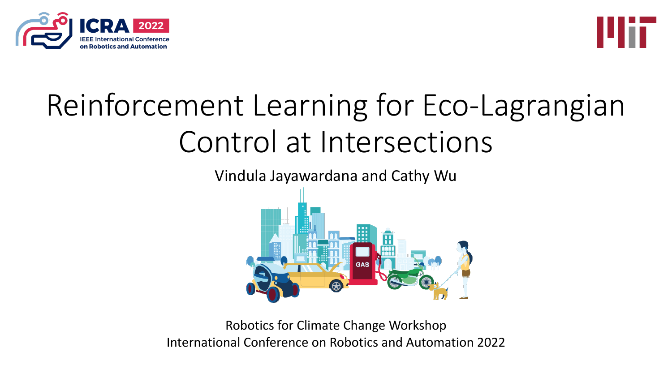



# Reinforcement Learning for Eco-Lagrangian Control at Intersections

Vindula Jayawardana and Cathy Wu



Robotics for Climate Change Workshop International Conference on Robotics and Automation 2022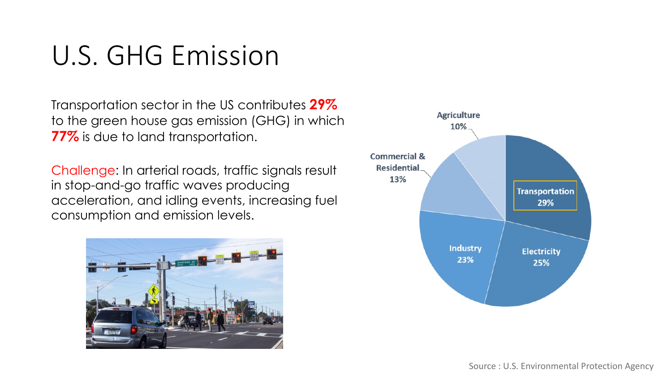### U.S. GHG Emission

Transportation sector in the US contributes **29%** to the green house gas emission (GHG) in which **77%** is due to land transportation.

Challenge: In arterial roads, traffic signals result in stop-and-go traffic waves producing acceleration, and idling events, increasing fuel consumption and emission levels.



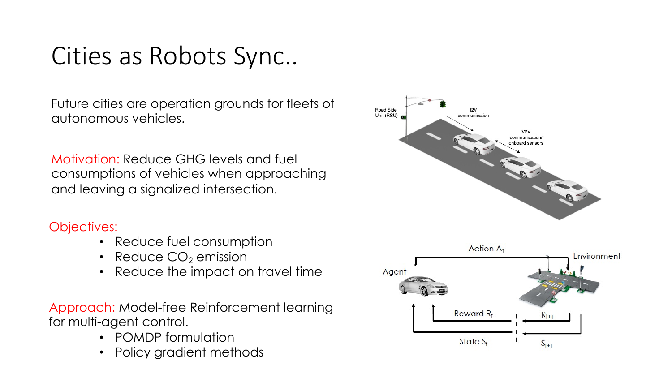#### Cities as Robots Sync..

Future cities are operation grounds for fleets of autonomous vehicles.

Motivation: Reduce GHG levels and fuel consumptions of vehicles when approaching and leaving a signalized intersection.

#### Objectives:

- Reduce fuel consumption
- Reduce  $CO<sub>2</sub>$  emission
- Reduce the impact on travel time

Approach: Model-free Reinforcement learning for multi-agent control.

- POMDP formulation
- Policy gradient methods



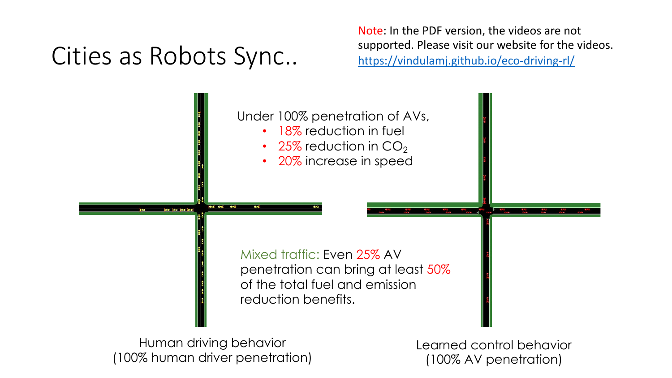## Cities as Robots Sync..

Note: In the P supported. Ple https://vindul